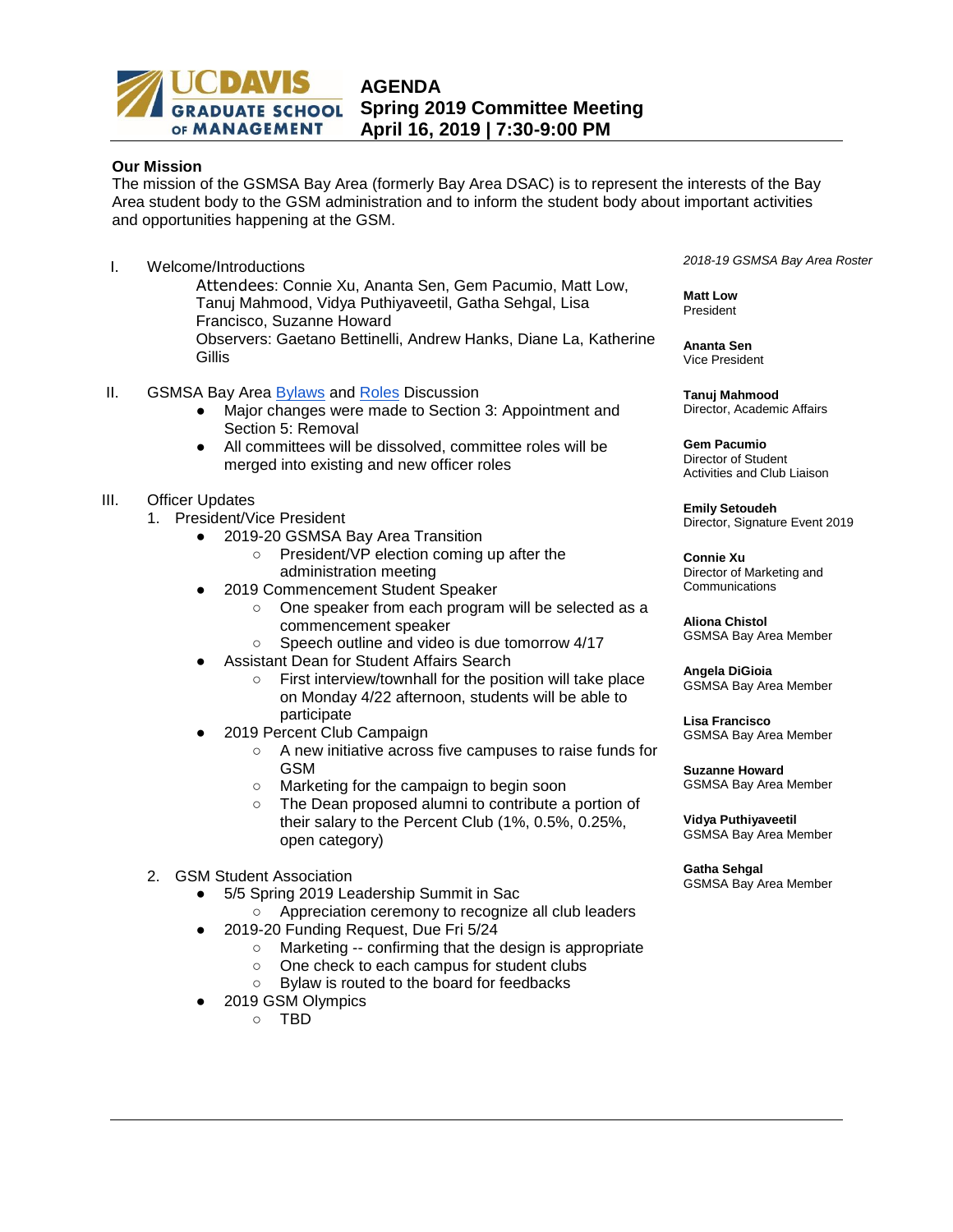

## **Our Mission**

The mission of the GSMSA Bay Area (formerly Bay Area DSAC) is to represent the interests of the Bay Area student body to the GSM administration and to inform the student body about important activities and opportunities happening at the GSM.

I. Welcome/Introductions

Attendees: Connie Xu, Ananta Sen, Gem Pacumio, Matt Low, Tanuj Mahmood, Vidya Puthiyaveetil, Gatha Sehgal, Lisa Francisco, Suzanne Howard Observers: Gaetano Bettinelli, Andrew Hanks, Diane La, Katherine **Gillis** 

- II. GSMSA Bay Area [Bylaws](https://docs.google.com/document/d/1bkXqiBIiyc1Gd_13yzYTJ8dJ35JvS7yZSHAdRnHrpNY/edit) and [Roles](https://docs.google.com/document/d/1ukcAq4uS9yNd4aQFqu7YI-kRAFaES52Abxj9ODTJN8c/edit) Discussion
	- Major changes were made to Section 3: Appointment and Section 5: Removal
	- All committees will be dissolved, committee roles will be merged into existing and new officer roles

## III. Officer Updates

- 1. President/Vice President
	- 2019-20 GSMSA Bay Area Transition
		- President/VP election coming up after the administration meeting
	- 2019 Commencement Student Speaker
		- One speaker from each program will be selected as a commencement speaker
		- Speech outline and video is due tomorrow 4/17
		- Assistant Dean for Student Affairs Search
			- First interview/townhall for the position will take place on Monday 4/22 afternoon, students will be able to participate
	- 2019 Percent Club Campaign
		- A new initiative across five campuses to raise funds for GSM
		- Marketing for the campaign to begin soon
		- The Dean proposed alumni to contribute a portion of their salary to the Percent Club (1%, 0.5%, 0.25%, open category)
- 2. GSM Student Association
	- 5/5 Spring 2019 Leadership Summit in Sac
		- Appreciation ceremony to recognize all club leaders
	- 2019-20 Funding Request, Due Fri 5/24
		- Marketing -- confirming that the design is appropriate
		- One check to each campus for student clubs
		- Bylaw is routed to the board for feedbacks
	- 2019 GSM Olympics
		- TBD

*2018-19 GSMSA Bay Area Roster*

**Matt Low** President

**Ananta Sen** Vice President

**Tanuj Mahmood** Director, Academic Affairs

**Gem Pacumio**  Director of Student Activities and Club Liaison

**Emily Setoudeh**  Director, Signature Event 2019

**Connie Xu**  Director of Marketing and **Communications** 

**Aliona Chistol**  GSMSA Bay Area Member

**Angela DiGioia** GSMSA Bay Area Member

**Lisa Francisco**  GSMSA Bay Area Member

**Suzanne Howard**  GSMSA Bay Area Member

**Vidya Puthiyaveetil**  GSMSA Bay Area Member

**Gatha Sehgal**  GSMSA Bay Area Member